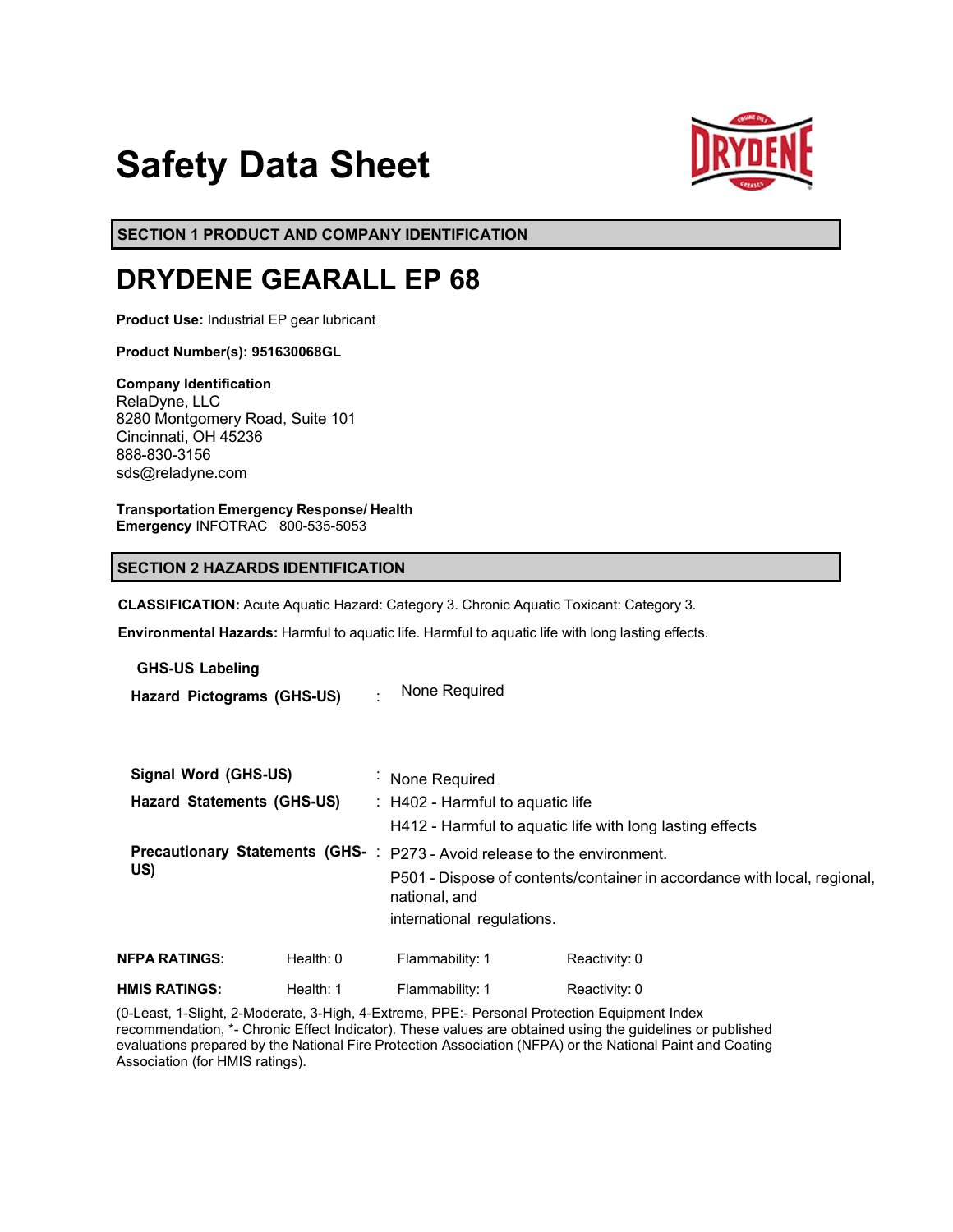# **Safety Data Sheet**



**SECTION 1 PRODUCT AND COMPANY IDENTIFICATION**

# **DRYDENE GEARALL EP 68**

**Product Use:** Industrial EP gear lubricant

**Product Number(s): 951630068GL** 

**Company Identification** RelaDyne, LLC 8280 Montgomery Road, Suite 101 Cincinnati, OH 45236 888-830-3156 sds@reladyne.com

**Transportation Emergency Response/ Health Emergency** INFOTRAC 800-535-5053

# **SECTION 2 HAZARDS IDENTIFICATION**

**CLASSIFICATION:** Acute Aquatic Hazard: Category 3. Chronic Aquatic Toxicant: Category 3.

**Environmental Hazards:** Harmful to aquatic life. Harmful to aquatic life with long lasting effects.

**GHS-US Labeling**

**Hazard Pictograms (GHS-US)** : None Required

| Signal Word (GHS-US)              |             | : None Required                                                                                         |                                                                                                                                                      |  |
|-----------------------------------|-------------|---------------------------------------------------------------------------------------------------------|------------------------------------------------------------------------------------------------------------------------------------------------------|--|
| <b>Hazard Statements (GHS-US)</b> |             | $\therefore$ H402 - Harmful to aquatic life<br>H412 - Harmful to aquatic life with long lasting effects |                                                                                                                                                      |  |
| US)                               |             | national, and<br>international regulations.                                                             | Precautionary Statements (GHS-: P273 - Avoid release to the environment.<br>P501 - Dispose of contents/container in accordance with local, regional, |  |
| <b>NFPA RATINGS:</b>              | Health: $0$ | Flammability: 1                                                                                         | Reactivity: 0                                                                                                                                        |  |
| <b>HMIS RATINGS:</b>              | Health: 1   | Flammability: 1                                                                                         | Reactivity: 0                                                                                                                                        |  |

(0-Least, 1-Slight, 2-Moderate, 3-High, 4-Extreme, PPE:- Personal Protection Equipment Index recommendation, \*- Chronic Effect Indicator). These values are obtained using the guidelines or published evaluations prepared by the National Fire Protection Association (NFPA) or the National Paint and Coating Association (for HMIS ratings).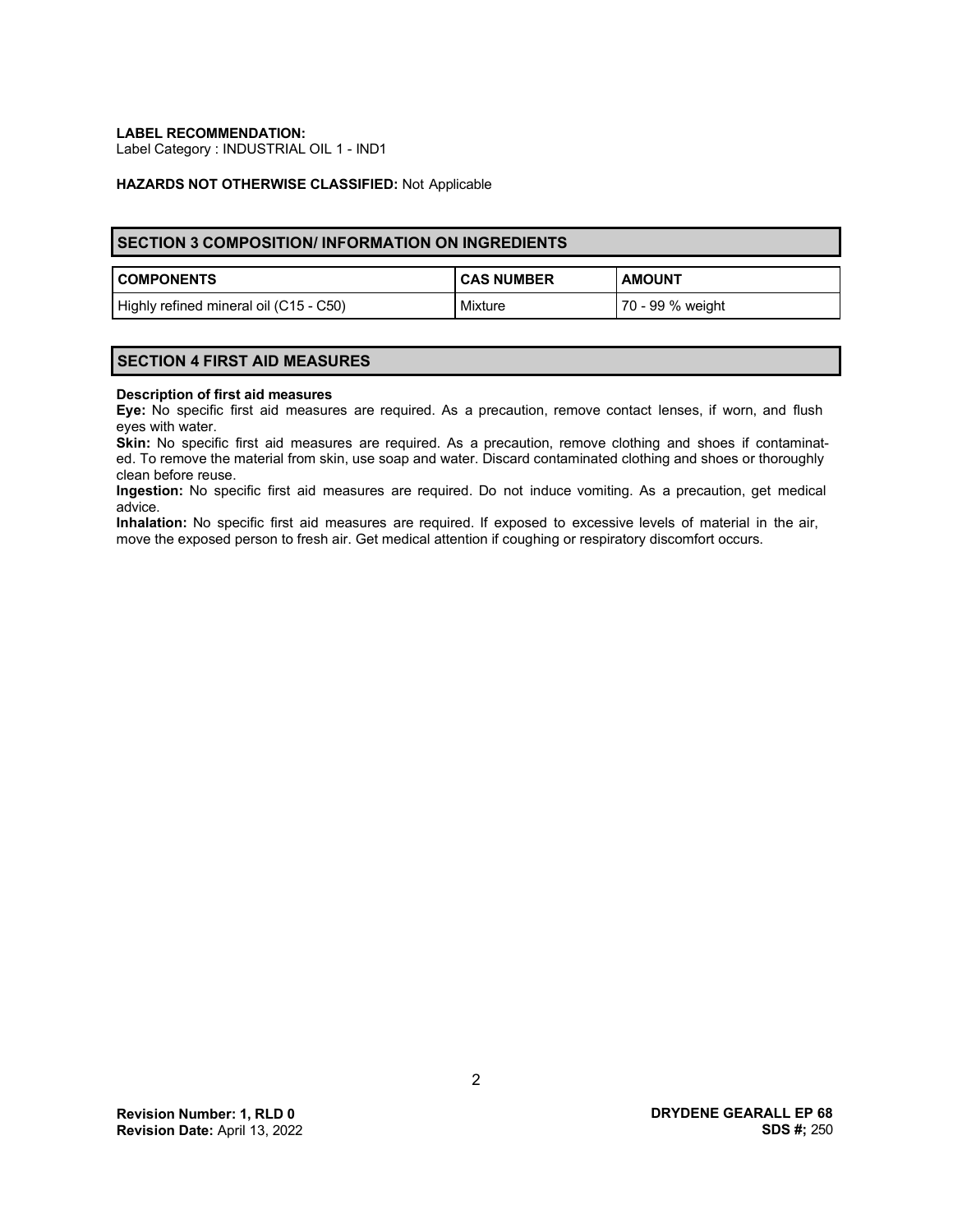**LABEL RECOMMENDATION:**

Label Category : INDUSTRIAL OIL 1 - IND1

#### **HAZARDS NOT OTHERWISE CLASSIFIED:** Not Applicable

# **SECTION 3 COMPOSITION/ INFORMATION ON INGREDIENTS**

| <b>COMPONENTS</b>                      | <b>CAS NUMBER</b> | <b>AMOUNT</b>    |
|----------------------------------------|-------------------|------------------|
| Highly refined mineral oil (C15 - C50) | Mixture           | 70 - 99 % weight |

#### **SECTION 4 FIRST AID MEASURES**

#### **Description of first aid measures**

**Eye:** No specific first aid measures are required. As a precaution, remove contact lenses, if worn, and flush eyes with water.

**Skin:** No specific first aid measures are required. As a precaution, remove clothing and shoes if contaminated. To remove the material from skin, use soap and water. Discard contaminated clothing and shoes or thoroughly clean before reuse.

**Ingestion:** No specific first aid measures are required. Do not induce vomiting. As a precaution, get medical advice.

**Inhalation:** No specific first aid measures are required. If exposed to excessive levels of material in the air, move the exposed person to fresh air. Get medical attention if coughing or respiratory discomfort occurs.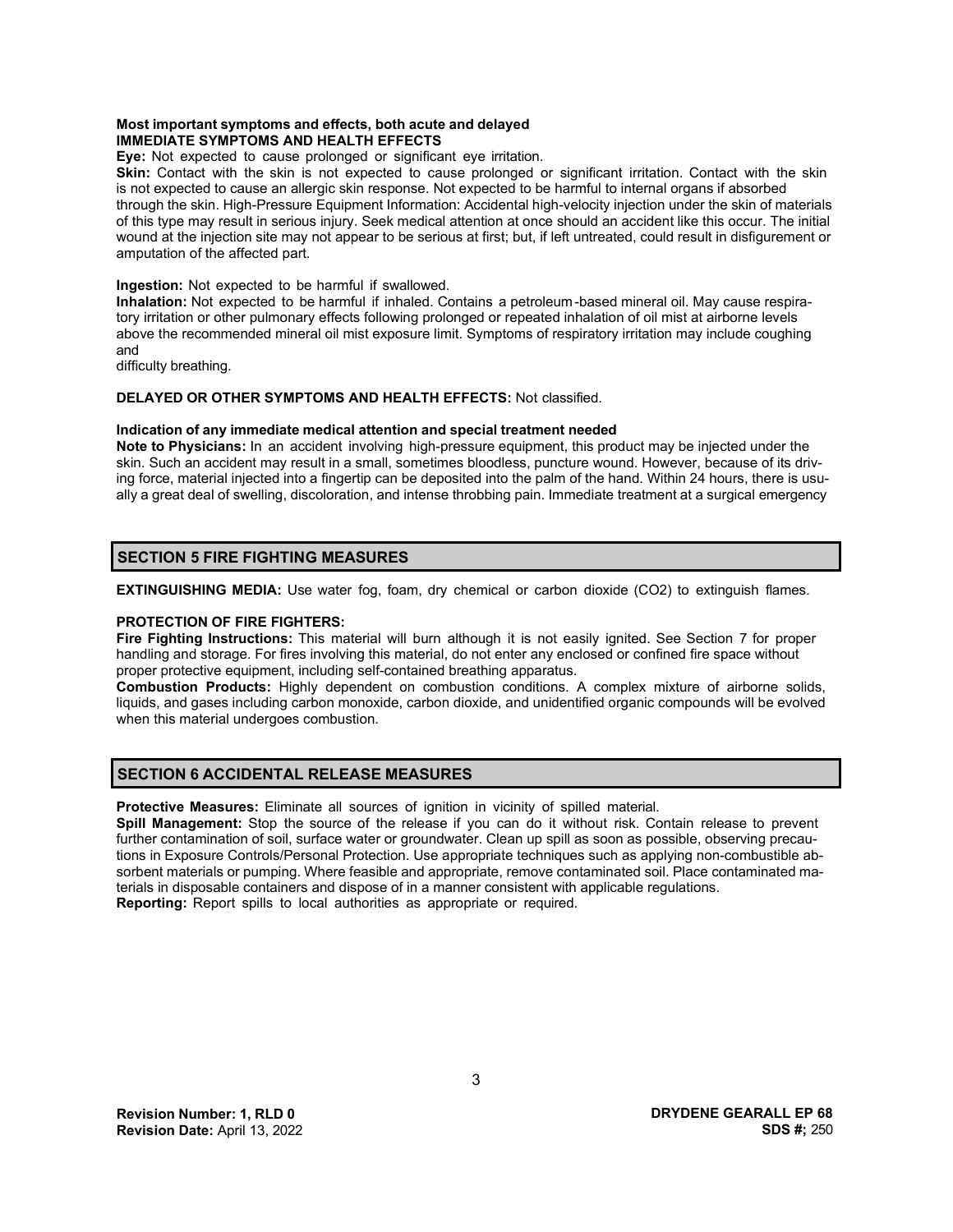### **Most important symptoms and effects, both acute and delayed IMMEDIATE SYMPTOMS AND HEALTH EFFECTS**

**Eye:** Not expected to cause prolonged or significant eye irritation.

**Skin:** Contact with the skin is not expected to cause prolonged or significant irritation. Contact with the skin is not expected to cause an allergic skin response. Not expected to be harmful to internal organs if absorbed through the skin. High-Pressure Equipment Information: Accidental high-velocity injection under the skin of materials of this type may result in serious injury. Seek medical attention at once should an accident like this occur. The initial wound at the injection site may not appear to be serious at first; but, if left untreated, could result in disfigurement or amputation of the affected part.

**Ingestion:** Not expected to be harmful if swallowed.

**Inhalation:** Not expected to be harmful if inhaled. Contains a petroleum-based mineral oil. May cause respiratory irritation or other pulmonary effects following prolonged or repeated inhalation of oil mist at airborne levels above the recommended mineral oil mist exposure limit. Symptoms of respiratory irritation may include coughing and

difficulty breathing.

# **DELAYED OR OTHER SYMPTOMS AND HEALTH EFFECTS:** Not classified.

#### **Indication of any immediate medical attention and special treatment needed**

**Note to Physicians:** In an accident involving high-pressure equipment, this product may be injected under the skin. Such an accident may result in a small, sometimes bloodless, puncture wound. However, because of its driving force, material injected into a fingertip can be deposited into the palm of the hand. Within 24 hours, there is usually a great deal of swelling, discoloration, and intense throbbing pain. Immediate treatment at a surgical emergency

# **SECTION 5 FIRE FIGHTING MEASURES**

**EXTINGUISHING MEDIA:** Use water fog, foam, dry chemical or carbon dioxide (CO2) to extinguish flames.

# **PROTECTION OF FIRE FIGHTERS:**

**Fire Fighting Instructions:** This material will burn although it is not easily ignited. See Section 7 for proper handling and storage. For fires involving this material, do not enter any enclosed or confined fire space without proper protective equipment, including self-contained breathing apparatus.

**Combustion Products:** Highly dependent on combustion conditions. A complex mixture of airborne solids, liquids, and gases including carbon monoxide, carbon dioxide, and unidentified organic compounds will be evolved when this material undergoes combustion.

# **SECTION 6 ACCIDENTAL RELEASE MEASURES**

**Protective Measures:** Eliminate all sources of ignition in vicinity of spilled material.

**Spill Management:** Stop the source of the release if you can do it without risk. Contain release to prevent further contamination of soil, surface water or groundwater. Clean up spill as soon as possible, observing precautions in Exposure Controls/Personal Protection. Use appropriate techniques such as applying non-combustible absorbent materials or pumping. Where feasible and appropriate, remove contaminated soil. Place contaminated materials in disposable containers and dispose of in a manner consistent with applicable regulations. **Reporting:** Report spills to local authorities as appropriate or required.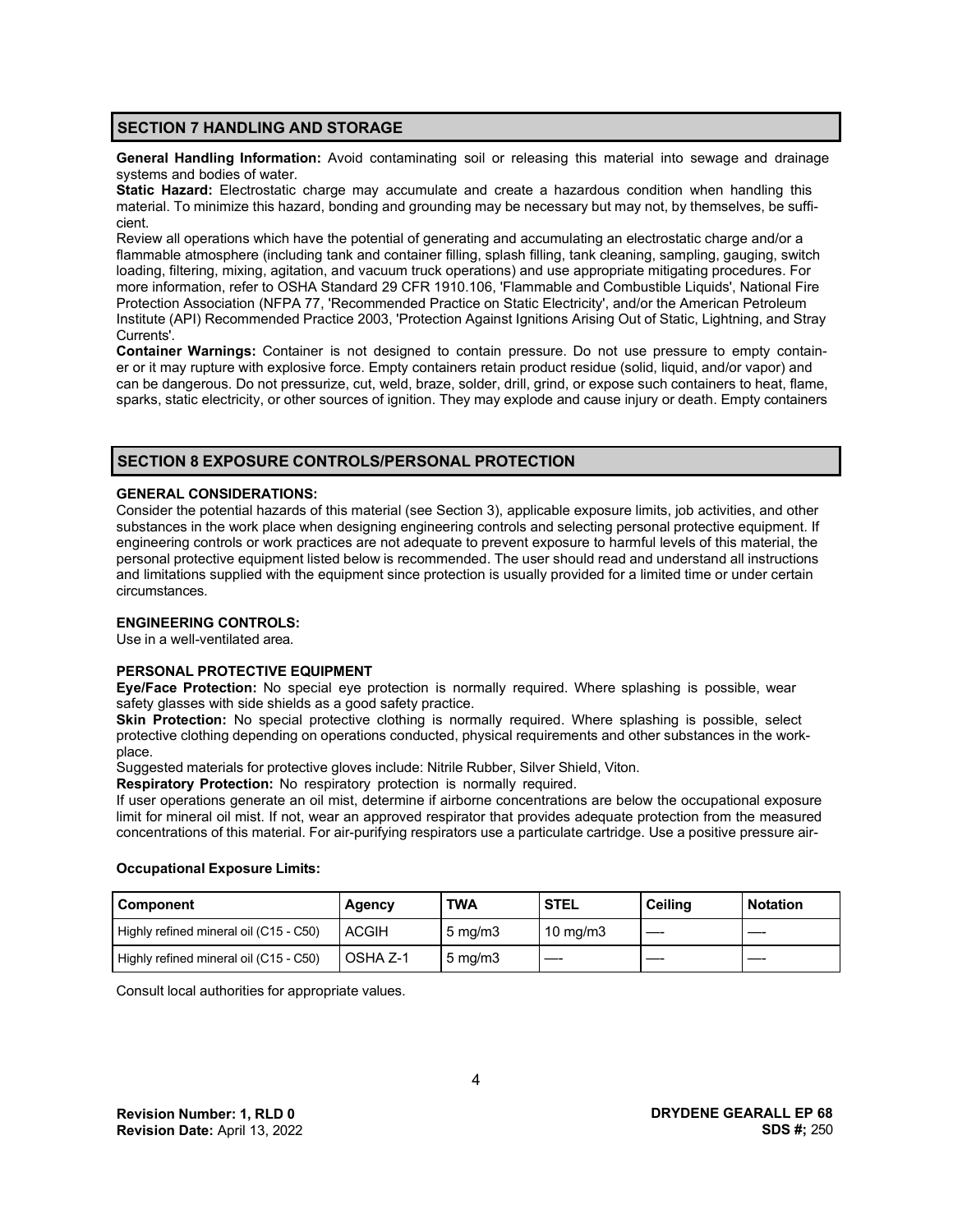# **SECTION 7 HANDLING AND STORAGE**

**General Handling Information:** Avoid contaminating soil or releasing this material into sewage and drainage systems and bodies of water.

**Static Hazard:** Electrostatic charge may accumulate and create a hazardous condition when handling this material. To minimize this hazard, bonding and grounding may be necessary but may not, by themselves, be sufficient.

Review all operations which have the potential of generating and accumulating an electrostatic charge and/or a flammable atmosphere (including tank and container filling, splash filling, tank cleaning, sampling, gauging, switch loading, filtering, mixing, agitation, and vacuum truck operations) and use appropriate mitigating procedures. For more information, refer to OSHA Standard 29 CFR 1910.106, 'Flammable and Combustible Liquids', National Fire Protection Association (NFPA 77, 'Recommended Practice on Static Electricity', and/or the American Petroleum Institute (API) Recommended Practice 2003, 'Protection Against Ignitions Arising Out of Static, Lightning, and Stray Currents'.

**Container Warnings:** Container is not designed to contain pressure. Do not use pressure to empty container or it may rupture with explosive force. Empty containers retain product residue (solid, liquid, and/or vapor) and can be dangerous. Do not pressurize, cut, weld, braze, solder, drill, grind, or expose such containers to heat, flame, sparks, static electricity, or other sources of ignition. They may explode and cause injury or death. Empty containers

# **SECTION 8 EXPOSURE CONTROLS/PERSONAL PROTECTION**

#### **GENERAL CONSIDERATIONS:**

Consider the potential hazards of this material (see Section 3), applicable exposure limits, job activities, and other substances in the work place when designing engineering controls and selecting personal protective equipment. If engineering controls or work practices are not adequate to prevent exposure to harmful levels of this material, the personal protective equipment listed below is recommended. The user should read and understand all instructions and limitations supplied with the equipment since protection is usually provided for a limited time or under certain circumstances.

#### **ENGINEERING CONTROLS:**

Use in a well-ventilated area.

# **PERSONAL PROTECTIVE EQUIPMENT**

**Eye/Face Protection:** No special eye protection is normally required. Where splashing is possible, wear safety glasses with side shields as a good safety practice.

**Skin Protection:** No special protective clothing is normally required. Where splashing is possible, select protective clothing depending on operations conducted, physical requirements and other substances in the workplace.

Suggested materials for protective gloves include: Nitrile Rubber, Silver Shield, Viton.

**Respiratory Protection:** No respiratory protection is normally required.

If user operations generate an oil mist, determine if airborne concentrations are below the occupational exposure limit for mineral oil mist. If not, wear an approved respirator that provides adequate protection from the measured concentrations of this material. For air-purifying respirators use a particulate cartridge. Use a positive pressure air-

#### **Occupational Exposure Limits:**

| Component                              | Agency       | TWA                | <b>STEL</b>       | <b>Ceiling</b> | <b>Notation</b> |
|----------------------------------------|--------------|--------------------|-------------------|----------------|-----------------|
| Highly refined mineral oil (C15 - C50) | <b>ACGIH</b> | $5 \text{ mg/m}$ 3 | $10 \text{ mg/m}$ |                |                 |
| Highly refined mineral oil (C15 - C50) | OSHA Z-1     | $5 \text{ mg/m}$   |                   |                |                 |

Consult local authorities for appropriate values.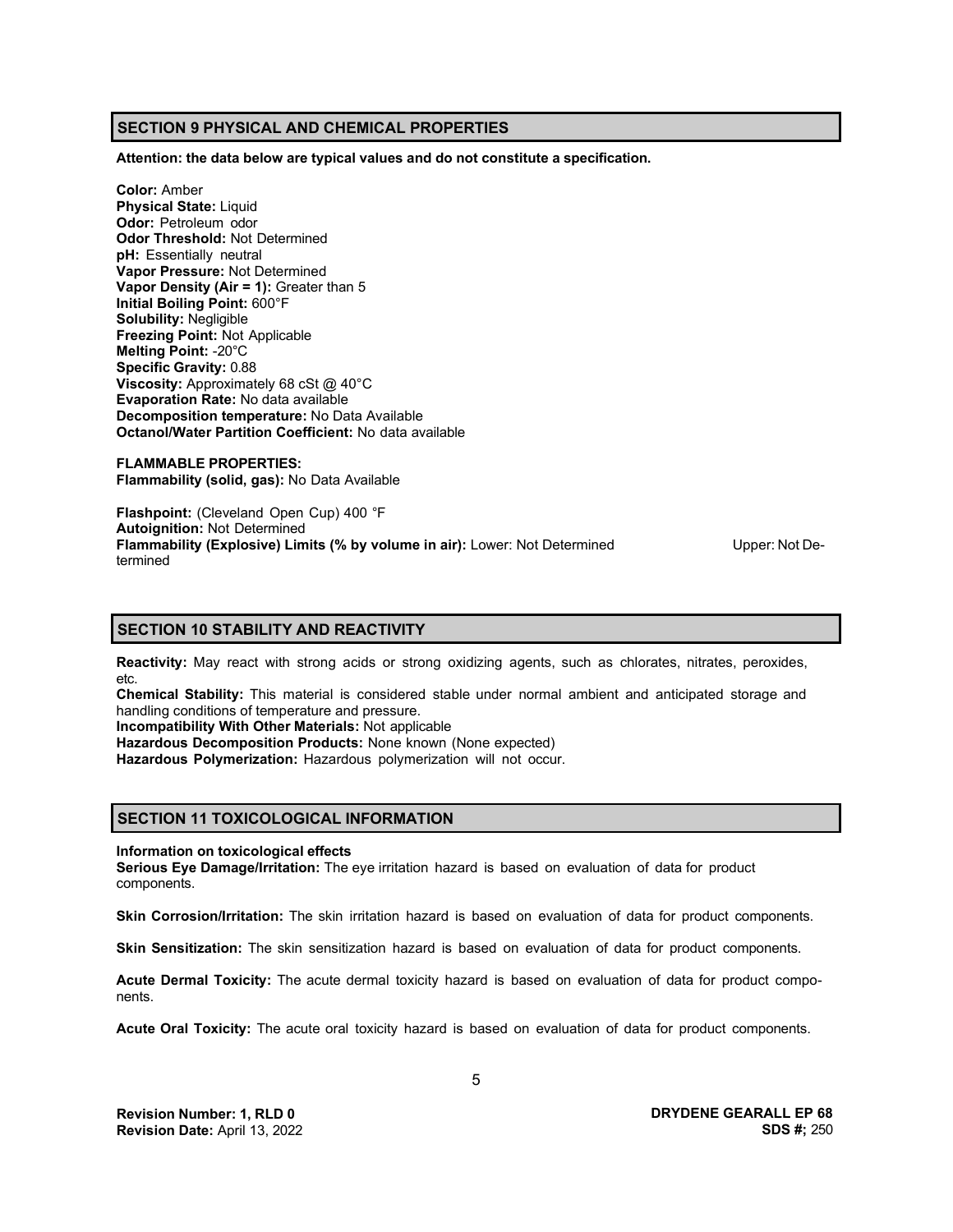# **SECTION 9 PHYSICAL AND CHEMICAL PROPERTIES**

**Attention: the data below are typical values and do not constitute a specification.**

**Color:** Amber **Physical State:** Liquid **Odor:** Petroleum odor **Odor Threshold:** Not Determined **pH:** Essentially neutral **Vapor Pressure:** Not Determined **Vapor Density (Air = 1):** Greater than 5 **Initial Boiling Point:** 600°F **Solubility:** Negligible **Freezing Point:** Not Applicable **Melting Point:** -20°C **Specific Gravity:** 0.88 **Viscosity:** Approximately 68 cSt @ 40°C **Evaporation Rate:** No data available **Decomposition temperature:** No Data Available **Octanol/Water Partition Coefficient:** No data available

**FLAMMABLE PROPERTIES: Flammability (solid, gas):** No Data Available

**Flashpoint:** (Cleveland Open Cup) 400 °F **Autoignition:** Not Determined **Flammability (Explosive) Limits (% by volume in air):** Lower: Not Determined Upper: Not Determined

# **SECTION 10 STABILITY AND REACTIVITY**

**Reactivity:** May react with strong acids or strong oxidizing agents, such as chlorates, nitrates, peroxides, etc.

**Chemical Stability:** This material is considered stable under normal ambient and anticipated storage and handling conditions of temperature and pressure.

**Incompatibility With Other Materials:** Not applicable

**Hazardous Decomposition Products:** None known (None expected)

**Hazardous Polymerization:** Hazardous polymerization will not occur.

# **SECTION 11 TOXICOLOGICAL INFORMATION**

#### **Information on toxicological effects**

**Serious Eye Damage/Irritation:** The eye irritation hazard is based on evaluation of data for product components.

**Skin Corrosion/Irritation:** The skin irritation hazard is based on evaluation of data for product components.

**Skin Sensitization:** The skin sensitization hazard is based on evaluation of data for product components.

**Acute Dermal Toxicity:** The acute dermal toxicity hazard is based on evaluation of data for product components.

**Acute Oral Toxicity:** The acute oral toxicity hazard is based on evaluation of data for product components.

**DRYDENE GEARALL EP 68 SDS #;** 250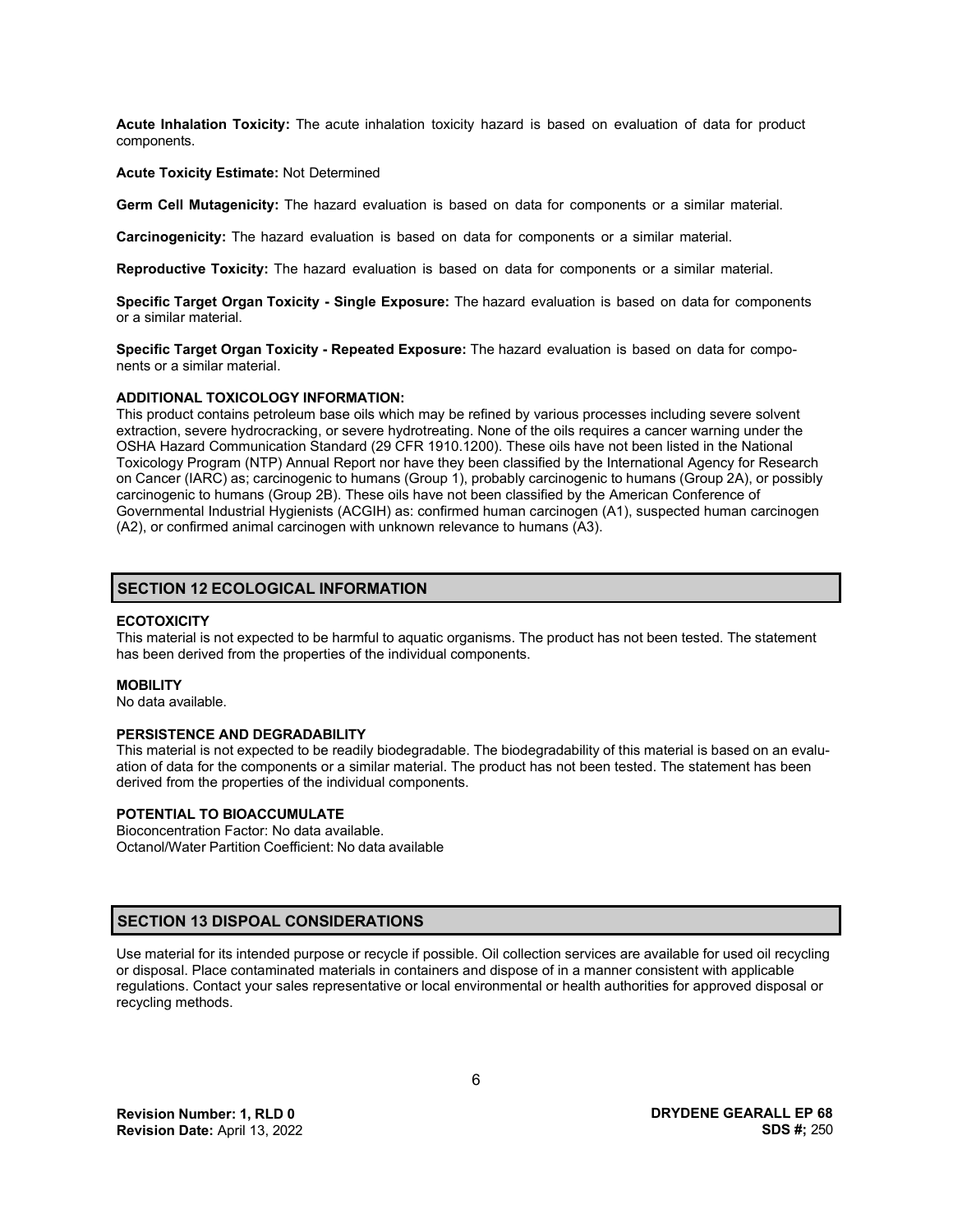**Acute Inhalation Toxicity:** The acute inhalation toxicity hazard is based on evaluation of data for product components.

#### **Acute Toxicity Estimate:** Not Determined

**Germ Cell Mutagenicity:** The hazard evaluation is based on data for components or a similar material.

**Carcinogenicity:** The hazard evaluation is based on data for components or a similar material.

**Reproductive Toxicity:** The hazard evaluation is based on data for components or a similar material.

**Specific Target Organ Toxicity - Single Exposure:** The hazard evaluation is based on data for components or a similar material.

**Specific Target Organ Toxicity - Repeated Exposure:** The hazard evaluation is based on data for components or a similar material.

#### **ADDITIONAL TOXICOLOGY INFORMATION:**

This product contains petroleum base oils which may be refined by various processes including severe solvent extraction, severe hydrocracking, or severe hydrotreating. None of the oils requires a cancer warning under the OSHA Hazard Communication Standard (29 CFR 1910.1200). These oils have not been listed in the National Toxicology Program (NTP) Annual Report nor have they been classified by the International Agency for Research on Cancer (IARC) as; carcinogenic to humans (Group 1), probably carcinogenic to humans (Group 2A), or possibly carcinogenic to humans (Group 2B). These oils have not been classified by the American Conference of Governmental Industrial Hygienists (ACGIH) as: confirmed human carcinogen (A1), suspected human carcinogen (A2), or confirmed animal carcinogen with unknown relevance to humans (A3).

### **SECTION 12 ECOLOGICAL INFORMATION**

#### **ECOTOXICITY**

This material is not expected to be harmful to aquatic organisms. The product has not been tested. The statement has been derived from the properties of the individual components.

#### **MOBILITY**

No data available.

#### **PERSISTENCE AND DEGRADABILITY**

This material is not expected to be readily biodegradable. The biodegradability of this material is based on an evaluation of data for the components or a similar material. The product has not been tested. The statement has been derived from the properties of the individual components.

# **POTENTIAL TO BIOACCUMULATE**

Bioconcentration Factor: No data available. Octanol/Water Partition Coefficient: No data available

### **SECTION 13 DISPOAL CONSIDERATIONS**

Use material for its intended purpose or recycle if possible. Oil collection services are available for used oil recycling or disposal. Place contaminated materials in containers and dispose of in a manner consistent with applicable regulations. Contact your sales representative or local environmental or health authorities for approved disposal or recycling methods.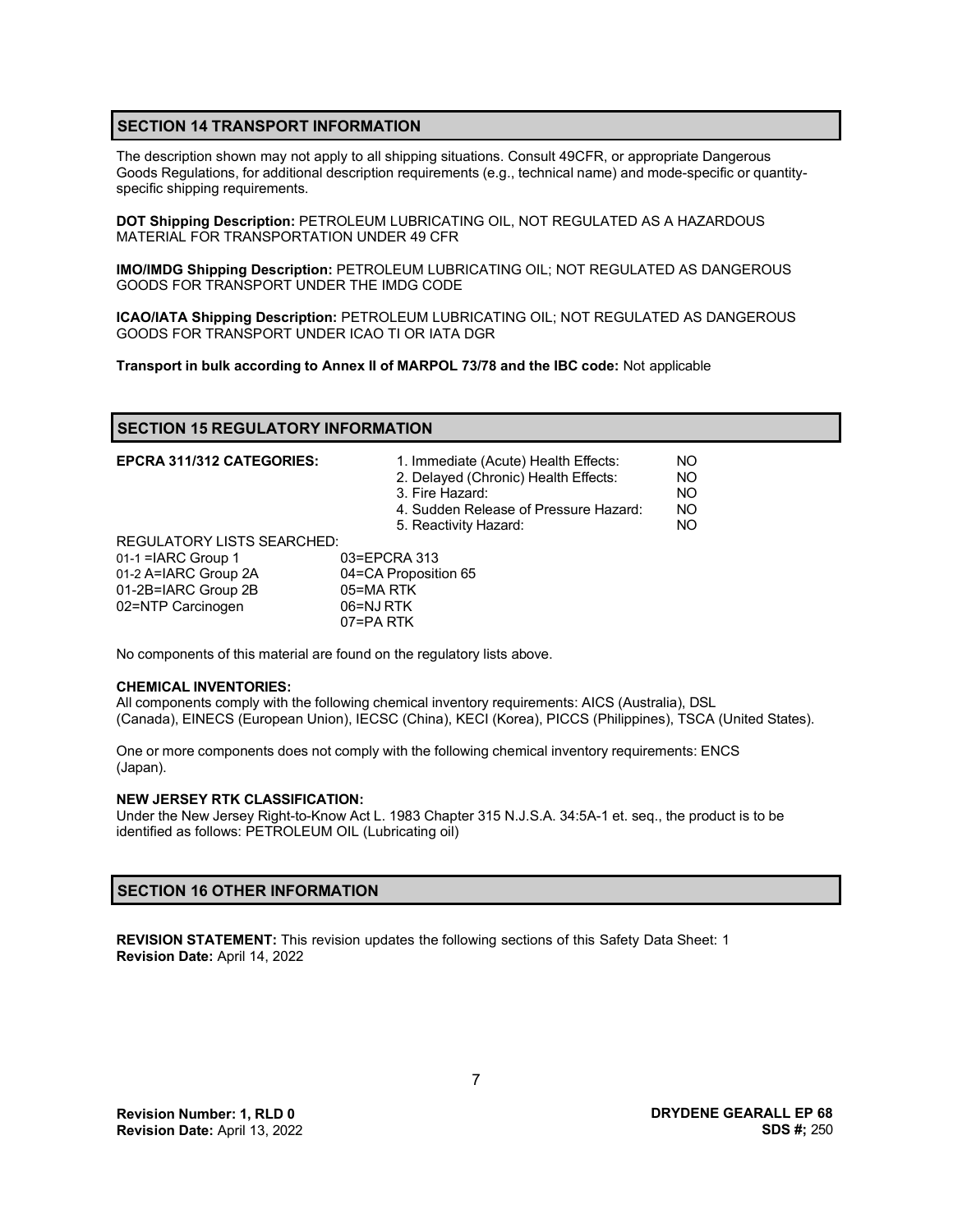# **SECTION 14 TRANSPORT INFORMATION**

The description shown may not apply to all shipping situations. Consult 49CFR, or appropriate Dangerous Goods Regulations, for additional description requirements (e.g., technical name) and mode-specific or quantityspecific shipping requirements.

**DOT Shipping Description:** PETROLEUM LUBRICATING OIL, NOT REGULATED AS A HAZARDOUS MATERIAL FOR TRANSPORTATION UNDER 49 CFR

**IMO/IMDG Shipping Description:** PETROLEUM LUBRICATING OIL; NOT REGULATED AS DANGEROUS GOODS FOR TRANSPORT UNDER THE IMDG CODE

**ICAO/IATA Shipping Description:** PETROLEUM LUBRICATING OIL; NOT REGULATED AS DANGEROUS GOODS FOR TRANSPORT UNDER ICAO TI OR IATA DGR

**Transport in bulk according to Annex II of MARPOL 73/78 and the IBC code:** Not applicable

| <b>SECTION 15 REGULATORY INFORMATION</b> |  |
|------------------------------------------|--|
|------------------------------------------|--|

| <b>EPCRA 311/312 CATEGORIES:</b>  | 1. Immediate (Acute) Health Effects:<br>2. Delayed (Chronic) Health Effects:<br>3. Fire Hazard:<br>4. Sudden Release of Pressure Hazard:<br>5. Reactivity Hazard: | NO.<br>NO<br>NO.<br>NO.<br>NO. |
|-----------------------------------|-------------------------------------------------------------------------------------------------------------------------------------------------------------------|--------------------------------|
| <b>REGULATORY LISTS SEARCHED:</b> |                                                                                                                                                                   |                                |
| 01-1 = IARC Group 1               | 03=EPCRA 313                                                                                                                                                      |                                |
| 01-2 A=IARC Group 2A              | 04=CA Proposition 65                                                                                                                                              |                                |
| 01-2B=IARC Group 2B               | 05=MARTK                                                                                                                                                          |                                |
| 02=NTP Carcinogen                 | 06=NJ RTK                                                                                                                                                         |                                |
|                                   | 07=PA RTK                                                                                                                                                         |                                |

No components of this material are found on the regulatory lists above.

#### **CHEMICAL INVENTORIES:**

All components comply with the following chemical inventory requirements: AICS (Australia), DSL (Canada), EINECS (European Union), IECSC (China), KECI (Korea), PICCS (Philippines), TSCA (United States).

One or more components does not comply with the following chemical inventory requirements: ENCS (Japan).

#### **NEW JERSEY RTK CLASSIFICATION:**

Under the New Jersey Right-to-Know Act L. 1983 Chapter 315 N.J.S.A. 34:5A-1 et. seq., the product is to be identified as follows: PETROLEUM OIL (Lubricating oil)

# **SECTION 16 OTHER INFORMATION**

**REVISION STATEMENT:** This revision updates the following sections of this Safety Data Sheet: 1 **Revision Date:** April 14, 2022